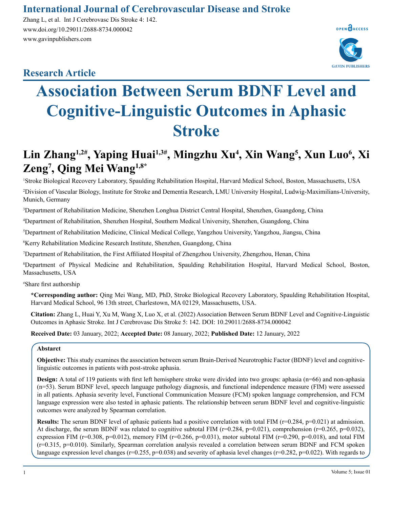### **International Journal of Cerebrovascular Disease and Stroke**

Zhang L, et al. Int J Cerebrovasc Dis Stroke 4: 142. www.doi.org/10.29011/2688-8734.000042 www.gavinpublishers.com

## **Research Article**



# **Association Between Serum BDNF Level and Cognitive-Linguistic Outcomes in Aphasic Stroke**

# Lin Zhang<sup>1,2#</sup>, Yaping Huai<sup>1,3#</sup>, Mingzhu Xu<sup>4</sup>, Xin Wang<sup>5</sup>, Xun Luo<sup>6</sup>, Xi **Zeng7 , Qing Mei Wang1,8\***

1 Stroke Biological Recovery Laboratory, Spaulding Rehabilitation Hospital, Harvard Medical School, Boston, Massachusetts, USA 2 Division of Vascular Biology, Institute for Stroke and Dementia Research, LMU University Hospital, Ludwig-Maximilians-University, Munich, Germany

3 Department of Rehabilitation Medicine, Shenzhen Longhua District Central Hospital, Shenzhen, Guangdong, China

4 Department of Rehabilitation, Shenzhen Hospital, Southern Medical University, Shenzhen, Guangdong, China

5 Department of Rehabilitation Medicine, Clinical Medical College, Yangzhou University, Yangzhou, Jiangsu, China

6 Kerry Rehabilitation Medicine Research Institute, Shenzhen, Guangdong, China

7 Department of Rehabilitation, the First Affiliated Hospital of Zhengzhou University, Zhengzhou, Henan, China

8 Department of Physical Medicine and Rehabilitation, Spaulding Rehabilitation Hospital, Harvard Medical School, Boston, Massachusetts, USA

# Share first authorship

**\*Corresponding author:** Qing Mei Wang, MD, PhD, Stroke Biological Recovery Laboratory, Spaulding Rehabilitation Hospital, Harvard Medical School, 96 13th street, Charlestown, MA 02129, Massachusetts, USA.

**Citation:** Zhang L, Huai Y, Xu M, Wang X, Luo X, et al. (2022) Association Between Serum BDNF Level and Cognitive-Linguistic Outcomes in Aphasic Stroke. Int J Cerebrovasc Dis Stroke 5: 142. DOI: 10.29011/2688-8734.000042

**Received Date:** 03 January, 2022; **Accepted Date:** 08 January, 2022; **Published Date:** 12 January, 2022

#### **Abstarct**

**Objective:** This study examines the association between serum Brain-Derived Neurotrophic Factor (BDNF) level and cognitivelinguistic outcomes in patients with post-stroke aphasia.

**Design:** A total of 119 patients with first left hemisphere stroke were divided into two groups: aphasia (n=66) and non-aphasia (n=53). Serum BDNF level, speech language pathology diagnosis, and functional independence measure (FIM) were assessed in all patients. Aphasia severity level, Functional Communication Measure (FCM) spoken language comprehension, and FCM language expression were also tested in aphasic patients. The relationship between serum BDNF level and cognitive-linguistic outcomes were analyzed by Spearman correlation.

**Results:** The serum BDNF level of aphasic patients had a positive correlation with total FIM (r=0.284, p=0.021) at admission. At discharge, the serum BDNF was related to cognitive subtotal FIM ( $r=0.284$ ,  $p=0.021$ ), comprehension ( $r=0.265$ ,  $p=0.032$ ), expression FIM ( $r=0.308$ ,  $p=0.012$ ), memory FIM ( $r=0.266$ ,  $p=0.031$ ), motor subtotal FIM ( $r=0.290$ ,  $p=0.018$ ), and total FIM (r=0.315, p=0.010). Similarly, Spearman correlation analysis revealed a correlation between serum BDNF and FCM spoken language expression level changes ( $r=0.255$ ,  $p=0.038$ ) and severity of aphasia level changes ( $r=0.282$ ,  $p=0.022$ ). With regards to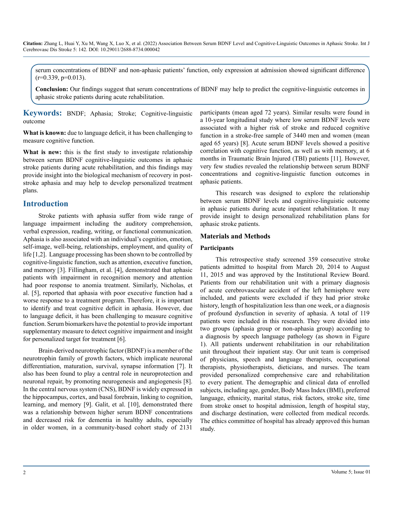serum concentrations of BDNF and non-aphasic patients' function, only expression at admission showed significant difference  $(r=0.339, p=0.013)$ .

**Conclusion:** Our findings suggest that serum concentrations of BDNF may help to predict the cognitive-linguistic outcomes in aphasic stroke patients during acute rehabilitation.

**Keywords:** BNDF; Aphasia; Stroke; Cognitive-linguistic outcome

**What is known:** due to language deficit, it has been challenging to measure cognitive function.

**What is new:** this is the first study to investigate relationship between serum BDNF cognitive-linguistic outcomes in aphasic stroke patients during acute rehabilitation, and this findings may provide insight into the biological mechanism of recovery in poststroke aphasia and may help to develop personalized treatment plans.

#### **Introduction**

Stroke patients with aphasia suffer from wide range of language impairment including the auditory comprehension, verbal expression, reading, writing, or functional communication. Aphasia is also associated with an individual's cognition, emotion, self-image, well-being, relationships, employment, and quality of life [1,2]. Language processing has been shown to be controlled by cognitive-linguistic function, such as attention, executive function, and memory [3]. Fillingham, et al. [4], demonstrated that aphasic patients with impairment in recognition memory and attention had poor response to anomia treatment. Similarly, Nicholas, et al. [5], reported that aphasia with poor executive function had a worse response to a treatment program. Therefore, it is important to identify and treat cognitive deficit in aphasia. However, due to language deficit, it has been challenging to measure cognitive function. Serum biomarkers have the potential to provide important supplementary measure to detect cognitive impairment and insight for personalized target for treatment [6].

Brain-derived neurotrophic factor (BDNF) is a member of the neurotrophin family of growth factors, which implicate neuronal differentiation, maturation, survival, synapse information [7]. It also has been found to play a central role in neuroprotection and neuronal repair, by promoting neurogenesis and angiogenesis [8]. In the central nervous system (CNS), BDNF is widely expressed in the hippocampus, cortex, and basal forebrain, linking to cognition, learning, and memory [9]. Galit, et al. [10], demonstrated there was a relationship between higher serum BDNF concentrations and decreased risk for dementia in healthy adults, especially in older women, in a community-based cohort study of 2131 participants (mean aged 72 years). Similar results were found in a 10-year longitudinal study where low serum BDNF levels were associated with a higher risk of stroke and reduced cognitive function in a stroke-free sample of 3440 men and women (mean aged 65 years) [8]. Acute serum BDNF levels showed a positive correlation with cognitive function, as well as with memory, at 6 months in Traumatic Brain Injured (TBI) patients [11]. However, very few studies revealed the relationship between serum BDNF concentrations and cognitive-linguistic function outcomes in aphasic patients.

This research was designed to explore the relationship between serum BDNF levels and cognitive-linguistic outcome in aphasic patients during acute inpatient rehabilitation. It may provide insight to design personalized rehabilitation plans for aphasic stroke patients.

#### **Materials and Methods**

#### **Participants**

This retrospective study screened 359 consecutive stroke patients admitted to hospital from March 20, 2014 to August 11, 2015 and was approved by the Institutional Review Board. Patients from our rehabilitation unit with a primary diagnosis of acute cerebrovascular accident of the left hemisphere were included, and patients were excluded if they had prior stroke history, length of hospitalization less than one week, or a diagnosis of profound dysfunction in severity of aphasia. A total of 119 patients were included in this research. They were divided into two groups (aphasia group or non-aphasia group) according to a diagnosis by speech language pathology (as shown in Figure 1). All patients underwent rehabilitation in our rehabilitation unit throughout their inpatient stay. Our unit team is comprised of physicians, speech and language therapists, occupational therapists, physiotherapists, dieticians, and nurses. The team provided personalized comprehensive care and rehabilitation to every patient. The demographic and clinical data of enrolled subjects, including age, gender, Body Mass Index (BMI), preferred language, ethnicity, marital status, risk factors, stroke site, time from stroke onset to hospital admission, length of hospital stay, and discharge destination, were collected from medical records. The ethics committee of hospital has already approved this human study.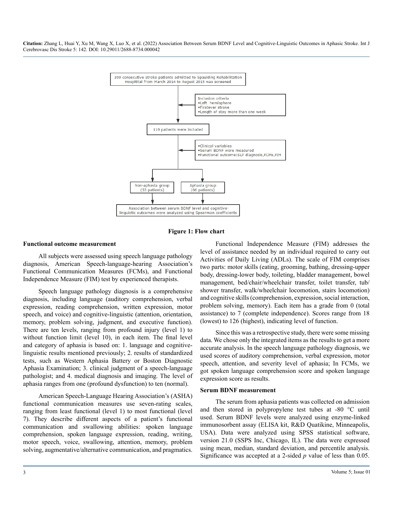

**Figure 1: Flow chart**

#### **Functional outcome measurement**

All subjects were assessed using speech language pathology diagnosis, American Speech-language-hearing Association's Functional Communication Measures (FCMs), and Functional Independence Measure (FIM) test by experienced therapists.

Speech language pathology diagnosis is a comprehensive diagnosis, including language (auditory comprehension, verbal expression, reading comprehension, written expression, motor speech, and voice) and cognitive-linguistic (attention, orientation, memory, problem solving, judgment, and executive function). There are ten levels, ranging from profound injury (level 1) to without function limit (level 10), in each item. The final level and category of aphasia is based on: 1. language and cognitivelinguistic results mentioned previously; 2. results of standardized tests, such as Western Aphasia Battery or Boston Diagnostic Aphasia Examination; 3. clinical judgment of a speech-language pathologist; and 4. medical diagnosis and imaging. The level of aphasia ranges from one (profound dysfunction) to ten (normal).

American Speech-Language Hearing Association's (ASHA) functional communication measures use seven-rating scales, ranging from least functional (level 1) to most functional (level 7). They describe different aspects of a patient's functional communication and swallowing abilities: spoken language comprehension, spoken language expression, reading, writing, motor speech, voice, swallowing, attention, memory, problem solving, augmentative/alternative communication, and pragmatics.

Functional Independence Measure (FIM) addresses the level of assistance needed by an individual required to carry out Activities of Daily Living (ADLs). The scale of FIM comprises two parts: motor skills (eating, grooming, bathing, dressing-upper body, dressing-lower body, toileting, bladder management, bowel management, bed/chair/wheelchair transfer, toilet transfer, tub/ shower transfer, walk/wheelchair locomotion, stairs locomotion) and cognitive skills (comprehension, expression, social interaction, problem solving, memory). Each item has a grade from 0 (total assistance) to 7 (complete independence). Scores range from 18 (lowest) to 126 (highest), indicating level of function.

Since this was a retrospective study, there were some missing data. We chose only the integrated items as the results to get a more accurate analysis. In the speech language pathology diagnosis, we used scores of auditory comprehension, verbal expression, motor speech, attention, and severity level of aphasia; In FCMs, we got spoken language comprehension score and spoken language expression score as results.

#### **Serum BDNF measurement**

The serum from aphasia patients was collected on admission and then stored in polypropylene test tubes at -80 °C until used. Serum BDNF levels were analyzed using enzyme-linked immunosorbent assay (ELISA kit, R&D Quatikine, Minneapolis, USA). Data were analyzed using SPSS statistical software, version 21.0 (SSPS Inc, Chicago, IL). The data were expressed using mean, median, standard deviation, and percentile analysis. Significance was accepted at a 2-sided *p* value of less than 0.05.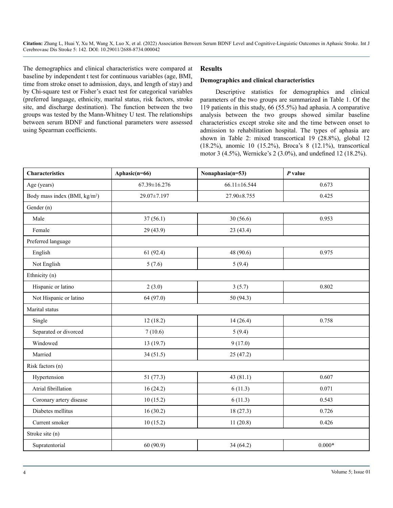The demographics and clinical characteristics were compared at baseline by independent t test for continuous variables (age, BMI, time from stroke onset to admission, days, and length of stay) and by Chi-square test or Fisher's exact test for categorical variables (preferred language, ethnicity, marital status, risk factors, stroke site, and discharge destination). The function between the two groups was tested by the Mann-Whitney U test. The relationships between serum BDNF and functional parameters were assessed using Spearman coefficients.

#### **Results**

#### **Demographics and clinical characteristics**

Descriptive statistics for demographics and clinical parameters of the two groups are summarized in Table 1. Of the 119 patients in this study, 66 (55.5%) had aphasia. A comparative analysis between the two groups showed similar baseline characteristics except stroke site and the time between onset to admission to rehabilitation hospital. The types of aphasia are shown in Table 2: mixed transcortical 19 (28.8%), global 12 (18.2%), anomic 10 (15.2%), Broca's 8 (12.1%), transcortical motor 3 (4.5%), Wernicke's 2 (3.0%), and undefined 12 (18.2%).

| <b>Characteristics</b>                    | Aphasic(n=66)      | Nonaphasia(n=53)<br>$P$ value |          |  |
|-------------------------------------------|--------------------|-------------------------------|----------|--|
| Age (years)                               | $67.39 \pm 16.276$ | $66.11 \pm 16.544$            | 0.673    |  |
| Body mass index (BMI, kg/m <sup>2</sup> ) | 29.07±7.197        | 27.90±8.755                   | 0.425    |  |
| Gender (n)                                |                    |                               |          |  |
| Male                                      | 37(56.1)           | 30(56.6)                      | 0.953    |  |
| Female                                    | 29 (43.9)          | 23(43.4)                      |          |  |
| Preferred language                        |                    |                               |          |  |
| English                                   | 61(92.4)           | 48 (90.6)                     | 0.975    |  |
| Not English                               | 5(7.6)             | 5(9.4)                        |          |  |
| Ethnicity (n)                             |                    |                               |          |  |
| Hispanic or latino                        | 2(3.0)             | 3(5.7)                        | 0.802    |  |
| Not Hispanic or latino                    | 64 (97.0)          | 50 (94.3)                     |          |  |
| Marital status                            |                    |                               |          |  |
| Single                                    | 12(18.2)           | 14(26.4)                      | 0.758    |  |
| Separated or divorced                     | 7(10.6)            | 5(9.4)                        |          |  |
| Windowed                                  | 13(19.7)           | 9(17.0)                       |          |  |
| Married                                   | 34(51.5)           | 25(47.2)                      |          |  |
| Risk factors (n)                          |                    |                               |          |  |
| Hypertension                              | 51(77.3)           | 43(81.1)                      | 0.607    |  |
| Atrial fibrillation                       | 16(24.2)           | 6(11.3)                       | 0.071    |  |
| Coronary artery disease                   | 10(15.2)           | 6(11.3)                       | 0.543    |  |
| Diabetes mellitus                         | 16(30.2)           | 18(27.3)                      | 0.726    |  |
| Current smoker                            | 10(15.2)           | 11(20.8)                      | 0.426    |  |
| Stroke site (n)                           |                    |                               |          |  |
| Supratentorial                            | 60(90.9)           | 34(64.2)                      | $0.000*$ |  |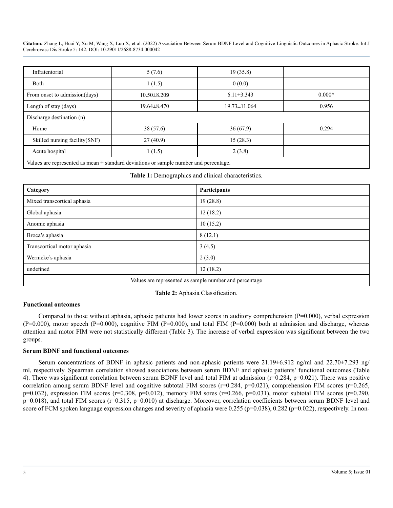| Infratentorial                                                                            | 5(7.6)            | 19(35.8)           |          |
|-------------------------------------------------------------------------------------------|-------------------|--------------------|----------|
| Both                                                                                      | 1(1.5)            | 0(0.0)             |          |
| From onset to admission(days)                                                             | $10.50 \pm 8.209$ | $6.11\pm3.343$     | $0.000*$ |
| Length of stay (days)                                                                     | $19.64 \pm 8.470$ | $19.73 \pm 11.064$ | 0.956    |
| Discharge destination (n)                                                                 |                   |                    |          |
| Home                                                                                      | 38(57.6)          | 36(67.9)           | 0.294    |
| Skilled nursing facility (SNF)                                                            | 27(40.9)          | 15(28.3)           |          |
| Acute hospital                                                                            | 1(1.5)            | 2(3.8)             |          |
| Values are represented as mean $\pm$ standard deviations or sample number and percentage. |                   |                    |          |

**Table 1:** Demographics and clinical characteristics.

| Category                                               | Participants |  |  |  |  |  |
|--------------------------------------------------------|--------------|--|--|--|--|--|
| Mixed transcortical aphasia                            | 19(28.8)     |  |  |  |  |  |
| Global aphasia                                         | 12(18.2)     |  |  |  |  |  |
| Anomic aphasia                                         | 10(15.2)     |  |  |  |  |  |
| Broca's aphasia                                        | 8(12.1)      |  |  |  |  |  |
| Transcortical motor aphasia                            | 3(4.5)       |  |  |  |  |  |
| Wernicke's aphasia                                     | 2(3.0)       |  |  |  |  |  |
| undefined                                              | 12(18.2)     |  |  |  |  |  |
| Values are represented as sample number and percentage |              |  |  |  |  |  |

**Table 2:** Aphasia Classification.

#### **Functional outcomes**

Compared to those without aphasia, aphasic patients had lower scores in auditory comprehension  $(P=0.000)$ , verbal expression  $(P=0.000)$ , motor speech  $(P=0.000)$ , cognitive FIM  $(P=0.000)$ , and total FIM  $(P=0.000)$  both at admission and discharge, whereas attention and motor FIM were not statistically different (Table 3). The increase of verbal expression was significant between the two groups.

#### **Serum BDNF and functional outcomes**

Serum concentrations of BDNF in aphasic patients and non-aphasic patients were 21.19±6.912 ng/ml and 22.70±7.293 ng/ ml, respectively. Spearman correlation showed associations between serum BDNF and aphasic patients' functional outcomes (Table 4). There was significant correlation between serum BDNF level and total FIM at admission (r=0.284, p=0.021). There was positive correlation among serum BDNF level and cognitive subtotal FIM scores ( $r=0.284$ ,  $p=0.021$ ), comprehension FIM scores ( $r=0.265$ , p=0.032), expression FIM scores (r=0.308, p=0.012), memory FIM sores (r=0.266, p=0.031), motor subtotal FIM scores (r=0.290,  $p=0.018$ ), and total FIM scores ( $r=0.315$ ,  $p=0.010$ ) at discharge. Moreover, correlation coefficients between serum BDNF level and score of FCM spoken language expression changes and severity of aphasia were 0.255 (p=0.038), 0.282 (p=0.022), respectively. In non-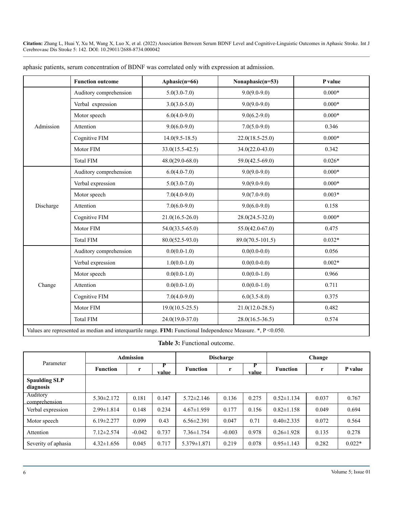|           | <b>Function outcome</b> | Aphasic(n=66)       | Nonaphasic(n=53)    | P value  |
|-----------|-------------------------|---------------------|---------------------|----------|
|           | Auditory comprehension  | $5.0(3.0-7.0)$      | $9.0(9.0-9.0)$      | $0.000*$ |
|           | Verbal expression       | $3.0(3.0-5.0)$      | $9.0(9.0-9.0)$      | $0.000*$ |
|           | Motor speech            | $6.0(4.0-9.0)$      | $9.0(6.2-9.0)$      | $0.000*$ |
| Admission | Attention               | $9.0(6.0-9.0)$      | $7.0(5.0-9.0)$      | 0.346    |
|           | Cognitive FIM           | $14.0(9.5-18.5)$    | $22.0(18.5 - 25.0)$ | $0.000*$ |
|           | Motor FIM               | $33.0(15.5-42.5)$   | $34.0(22.0 - 43.0)$ | 0.342    |
|           | <b>Total FIM</b>        | $48.0(29.0 - 68.0)$ | $59.0(42.5-69.0)$   | $0.026*$ |
|           | Auditory comprehension  | $6.0(4.0-7.0)$      | $9.0(9.0-9.0)$      | $0.000*$ |
|           | Verbal expression       | $5.0(3.0-7.0)$      | $9.0(9.0-9.0)$      | $0.000*$ |
|           | Motor speech            | $7.0(4.0-9.0)$      | $9.0(7.0-9.0)$      | $0.003*$ |
| Discharge | Attention               | $7.0(6.0-9.0)$      | $9.0(6.0-9.0)$      | 0.158    |
|           | Cognitive FIM           | $21.0(16.5-26.0)$   | $28.0(24.5 - 32.0)$ | $0.000*$ |
|           | Motor FIM               | $54.0(33.5-65.0)$   | $55.0(42.0-67.0)$   | 0.475    |
|           | <b>Total FIM</b>        | $80.0(52.5-93.0)$   | 89.0(70.5-101.5)    | $0.032*$ |
|           | Auditory comprehension  | $0.0(0.0-1.0)$      | $0.0(0.0-0.0)$      | 0.056    |
|           | Verbal expression       | $1.0(0.0-1.0)$      | $0.0(0.0-0.0)$      | $0.002*$ |
|           | Motor speech            | $0.0(0.0-1.0)$      | $0.0(0.0-1.0)$      | 0.966    |
| Change    | Attention               | $0.0(0.0-1.0)$      | $0.0(0.0-1.0)$      | 0.711    |
|           | Cognitive FIM           | $7.0(4.0-9.0)$      | $6.0(3.5-8.0)$      | 0.375    |
|           | Motor FIM               | $19.0(10.5-25.5)$   | $21.0(12.0 - 28.5)$ | 0.482    |
|           | <b>Total FIM</b>        | $24.0(19.0-37.0)$   | $28.0(16.5-36.5)$   | 0.574    |

aphasic patients, serum concentration of BDNF was correlated only with expression at admission.

Values are represented as median and interquartile range. **FIM:** Functional Independence Measure. \*, P <0.050.

#### **Table 3:** Functional outcome.

| Parameter                         | <b>Admission</b> |          |            | <b>Discharge</b>  |          |            | Change           |       |          |
|-----------------------------------|------------------|----------|------------|-------------------|----------|------------|------------------|-------|----------|
|                                   | <b>Function</b>  | r        | P<br>value | <b>Function</b>   | r        | Р<br>value | <b>Function</b>  | r     | P value  |
| <b>Spaulding SLP</b><br>diagnosis |                  |          |            |                   |          |            |                  |       |          |
| Auditory<br>comprehension         | $5.30 \pm 2.172$ | 0.181    | 0.147      | $5.72 \pm 2.146$  | 0.136    | 0.275      | $0.52 \pm 1.134$ | 0.037 | 0.767    |
| Verbal expression                 | $2.99 \pm 1.814$ | 0.148    | 0.234      | $4.67 \pm 1.959$  | 0.177    | 0.156      | $0.82 \pm 1.158$ | 0.049 | 0.694    |
| Motor speech                      | $6.19 \pm 2.277$ | 0.099    | 0.43       | $6.56 \pm 2.391$  | 0.047    | 0.71       | $0.40 \pm 2.335$ | 0.072 | 0.564    |
| Attention                         | $7.12 \pm 2.574$ | $-0.042$ | 0.737      | $7.36 \pm 1.754$  | $-0.003$ | 0.978      | $0.26 \pm 1.928$ | 0.135 | 0.278    |
| Severity of aphasia               | $4.32 \pm 1.656$ | 0.045    | 0.717      | $5.379 \pm 1.871$ | 0.219    | 0.078      | $0.95 \pm 1.143$ | 0.282 | $0.022*$ |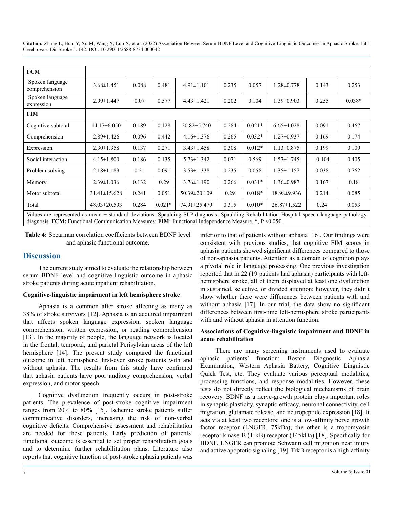| <b>FCM</b>                                                                                                                                                                                                                                           |                    |       |          |                    |       |          |                   |          |          |
|------------------------------------------------------------------------------------------------------------------------------------------------------------------------------------------------------------------------------------------------------|--------------------|-------|----------|--------------------|-------|----------|-------------------|----------|----------|
| Spoken language<br>comprehension                                                                                                                                                                                                                     | $3.68 \pm 1.451$   | 0.088 | 0.481    | $4.91 \pm 1.101$   | 0.235 | 0.057    | $1.28 \pm 0.778$  | 0.143    | 0.253    |
| Spoken language<br>expression                                                                                                                                                                                                                        | $2.99 \pm 1.447$   | 0.07  | 0.577    | $4.43 \pm 1.421$   | 0.202 | 0.104    | $1.39 \pm 0.903$  | 0.255    | $0.038*$ |
| <b>FIM</b>                                                                                                                                                                                                                                           |                    |       |          |                    |       |          |                   |          |          |
| Cognitive subtotal                                                                                                                                                                                                                                   | $14.17\pm 6.050$   | 0.189 | 0.128    | $20.82 \pm 5.740$  | 0.284 | $0.021*$ | $6.65 \pm 4.028$  | 0.091    | 0.467    |
| Comprehension                                                                                                                                                                                                                                        | $2.89 \pm 1.426$   | 0.096 | 0.442    | $4.16 \pm 1.376$   | 0.265 | $0.032*$ | $1.27 \pm 0.937$  | 0.169    | 0.174    |
| Expression                                                                                                                                                                                                                                           | $2.30 \pm 1.358$   | 0.137 | 0.271    | $3.43 \pm 1.458$   | 0.308 | $0.012*$ | $1.13 \pm 0.875$  | 0.199    | 0.109    |
| Social interaction                                                                                                                                                                                                                                   | $4.15 \pm 1.800$   | 0.186 | 0.135    | $5.73 \pm 1.342$   | 0.071 | 0.569    | $1.57 \pm 1.745$  | $-0.104$ | 0.405    |
| Problem solving                                                                                                                                                                                                                                      | $2.18 \pm 1.189$   | 0.21  | 0.091    | $3.53 \pm 1.338$   | 0.235 | 0.058    | $1.35 \pm 1.157$  | 0.038    | 0.762    |
| Memory                                                                                                                                                                                                                                               | $2.39 \pm 1.036$   | 0.132 | 0.29     | $3.76 \pm 1.190$   | 0.266 | $0.031*$ | $1.36 \pm 0.987$  | 0.167    | 0.18     |
| Motor subtotal                                                                                                                                                                                                                                       | $31.41 \pm 15.628$ | 0.241 | 0.051    | $50.39 \pm 20.109$ | 0.29  | $0.018*$ | 18.98±9.936       | 0.214    | 0.085    |
| Total                                                                                                                                                                                                                                                | $48.03 \pm 20.593$ | 0.284 | $0.021*$ | 74.91±25.479       | 0.315 | $0.010*$ | $26.87 \pm 1.522$ | 0.24     | 0.053    |
| Values are represented as mean ± standard deviations. Spaulding SLP diagnosis, Spaulding Rehabilitation Hospital speech-language pathology<br>diagnosis. FCM: Functional Communication Measures; FIM: Functional Independence Measure. *, P < 0.050. |                    |       |          |                    |       |          |                   |          |          |

**Table 4:** Spearman correlation coefficients between BDNF level and aphasic functional outcome.

#### **Discussion**

The current study aimed to evaluate the relationship between serum BDNF level and cognitive-linguistic outcome in aphasic stroke patients during acute inpatient rehabilitation.

#### **Cognitive-linguistic impairment in left hemisphere stroke**

Aphasia is a common after stroke affecting as many as 38% of stroke survivors [12]. Aphasia is an acquired impairment that affects spoken language expression, spoken language comprehension, written expression, or reading comprehension [13]. In the majority of people, the language network is located in the frontal, temporal, and parietal Perisylvian areas of the left hemisphere [14]. The present study compared the functional outcome in left hemisphere, first-ever stroke patients with and without aphasia. The results from this study have confirmed that aphasia patients have poor auditory comprehension, verbal expression, and motor speech.

Cognitive dysfunction frequently occurs in post-stroke patients. The prevalence of post-stroke cognitive impairment ranges from 20% to 80% [15]. Ischemic stroke patients suffer communicative disorders, increasing the risk of non-verbal cognitive deficits. Comprehensive assessment and rehabilitation are needed for these patients. Early prediction of patients' functional outcome is essential to set proper rehabilitation goals and to determine further rehabilitation plans. Literature also reports that cognitive function of post-stroke aphasia patients was inferior to that of patients without aphasia [16]. Our findings were consistent with previous studies, that cognitive FIM scores in aphasia patients showed significant differences compared to those of non-aphasia patients. Attention as a domain of cognition plays a pivotal role in language processing. One previous investigation reported that in 22 (19 patients had aphasia) participants with lefthemisphere stroke, all of them displayed at least one dysfunction in sustained, selective, or divided attention; however, they didn't show whether there were differences between patients with and without aphasia [17]. In our trial, the data show no significant differences between first-time left-hemisphere stroke participants with and without aphasia in attention function.

#### **Associations of Cognitive-linguistic impairment and BDNF in acute rehabilitation**

There are many screening instruments used to evaluate aphasic patients' function: Boston Diagnostic Aphasia Examination, Western Aphasia Battery, Cognitive Linguistic Quick Test, etc. They evaluate various perceptual modalities, processing functions, and response modalities. However, these tests do not directly reflect the biological mechanisms of brain recovery. BDNF as a nerve-growth protein plays important roles in synaptic plasticity, synaptic efficacy, neuronal connectivity, cell migration, glutamate release, and neuropeptide expression [18]. It acts via at least two receptors: one is a low-affinity nerve growth factor receptor (LNGFR, 75kDa); the other is a tropomyosin receptor kinase-B (TrkB) receptor (145kDa) [18]. Specifically for BDNF, LNGFR can promote Schwann cell migration near injury and active apoptotic signaling [19]. TrkB receptor is a high-affinity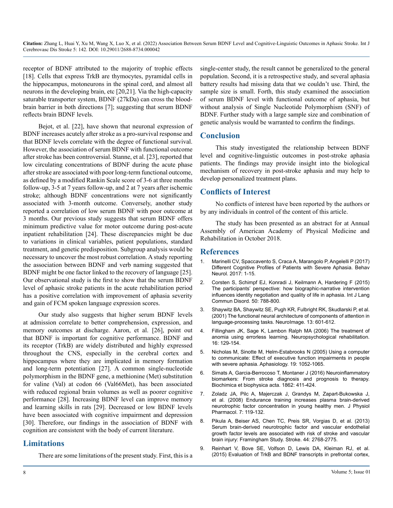receptor of BDNF attributed to the majority of trophic effects [18]. Cells that express TrkB are thymocytes, pyramidal cells in the hippocampus, motoneurons in the spinal cord, and almost all neurons in the developing brain, etc [20,21]. Via the high-capacity saturable transporter system, BDNF (27kDa) can cross the bloodbrain barrier in both directions [7]; suggesting that serum BDNF reflects brain BDNF levels.

Bejot, et al. [22], have shown that neuronal expression of BDNF increases acutely after stroke as a pro-survival response and that BDNF levels correlate with the degree of functional survival. However, the association of serum BDNF with functional outcome after stroke has been controversial. Stanne, et al. [23], reported that low circulating concentrations of BDNF during the acute phase after stroke are associated with poor long-term functional outcome, as defined by a modified Rankin Scale score of 3-6 at three months follow-up, 3-5 at 7 years follow-up, and 2 at 7 years after ischemic stroke; although BDNF concentrations were not significantly associated with 3-month outcome. Conversely, another study reported a correlation of low serum BDNF with poor outcome at 3 months. Our previous study suggests that serum BDNF offers minimum predictive value for motor outcome during post-acute inpatient rehabilitation [24]. These discrepancies might be due to variations in clinical variables, patient populations, standard treatment, and genetic predisposition. Subgroup analysis would be necessary to uncover the most robust correlation. A study reporting the association between BDNF and verb naming suggested that BDNF might be one factor linked to the recovery of language [25]. Our observational study is the first to show that the serum BDNF level of aphasic stroke patients in the acute rehabilitation period has a positive correlation with improvement of aphasia severity and gain of FCM spoken language expression scores.

Our study also suggests that higher serum BDNF levels at admission correlate to better comprehension, expression, and memory outcomes at discharge. Aaron, et al. [26], point out that BDNF is important for cognitive performance. BDNF and its receptor (TrkB) are widely distributed and highly expressed throughout the CNS, especially in the cerebral cortex and hippocampus where they are implicated in memory formation and long-term potentiation [27]. A common single-nucleotide polymorphism in the BDNF gene, a methionine (Met) substitution for valine (Val) at codon 66 (Val66Met), has been associated with reduced regional brain volumes as well as poorer cognitive performance [28]. Increasing BDNF level can improve memory and learning skills in rats [29]. Decreased or low BDNF levels have been associated with cognitive impairment and depression [30]. Therefore, our findings in the association of BDNF with cognition are consistent with the body of current literature.

#### **Limitations**

There are some limitations of the present study. First, this is a

single-center study, the result cannot be generalized to the general population. Second, it is a retrospective study, and several aphasia battery results had missing data that we couldn't use. Third, the sample size is small. Forth, this study examined the association of serum BDNF level with functional outcome of aphasia, but without analysis of Single Nucleotide Polymorphism (SNF) of BDNF. Further study with a large sample size and combination of genetic analysis would be warranted to confirm the findings.

#### **Conclusion**

This study investigated the relationship between BDNF level and cognitive-linguistic outcomes in post-stroke aphasia patients. The findings may provide insight into the biological mechanism of recovery in post-stroke aphasia and may help to develop personalized treatment plans.

#### **Conflicts of Interest**

No conflicts of interest have been reported by the authors or by any individuals in control of the content of this article.

The study has been presented as an abstract for at Annual Assembly of American Academy of Physical Medicine and Rehabilitation in October 2018.

#### **References**

- 1. [Marinelli CV, Spaccavento S, Craca A, Marangolo P, Angelelli P \(2017\)](https://www.ncbi.nlm.nih.gov/pmc/articles/PMC5467392/)  [Different Cognitive Profiles of Patients with Severe Aphasia. Behav](https://www.ncbi.nlm.nih.gov/pmc/articles/PMC5467392/)  [Neurol. 2017: 1-15.](https://www.ncbi.nlm.nih.gov/pmc/articles/PMC5467392/)
- 2. [Corsten S, Schimpf EJ, Konradi J, Keilmann A, Hardering F \(2015\)](https://pubmed.ncbi.nlm.nih.gov/26123497/)  [The participants' perspective: how biographic-narrative intervention](https://pubmed.ncbi.nlm.nih.gov/26123497/)  [influences identity negotiation and quality of life in aphasia. Int J Lang](https://pubmed.ncbi.nlm.nih.gov/26123497/)  [Commun Disord. 50: 788-800.](https://pubmed.ncbi.nlm.nih.gov/26123497/)
- 3. [Shaywitz BA, Shaywitz SE, Pugh KR, Fulbright RK, Skudlarski P, et al.](https://pubmed.ncbi.nlm.nih.gov/11305889/)  [\(2001\) The functional neural architecture of components of attention in](https://pubmed.ncbi.nlm.nih.gov/11305889/)  [language-processing tasks. NeuroImage. 13: 601-612.](https://pubmed.ncbi.nlm.nih.gov/11305889/)
- 4. [Fillingham JK, Sage K, Lambon Ralph MA \(2006\) The treatment of](https://pubmed.ncbi.nlm.nih.gov/16565031/)  [anomia using errorless learning. Neuropsychological rehabilitation.](https://pubmed.ncbi.nlm.nih.gov/16565031/)  [16: 129-154.](https://pubmed.ncbi.nlm.nih.gov/16565031/)
- 5. [Nicholas M, Sinotte M, Helm-Estabrooks N \(2005\) Using a computer](https://www.tandfonline.com/doi/abs/10.1080/02687030544000245)  [to communicate: Effect of executive function impairments in people](https://www.tandfonline.com/doi/abs/10.1080/02687030544000245)  [with severe aphasia. Aphasiology. 19: 1052-1065.](https://www.tandfonline.com/doi/abs/10.1080/02687030544000245)
- 6. [Simats A, Garcia-Berrocoso T, Montaner J \(2016\) Neuroinflammatory](https://pubmed.ncbi.nlm.nih.gov/26524637/)  [biomarkers: From stroke diagnosis and prognosis to therapy.](https://pubmed.ncbi.nlm.nih.gov/26524637/) [Biochimica et biophysica acta. 1862: 411-424.](https://pubmed.ncbi.nlm.nih.gov/26524637/)
- 7. [Zoladz JA, Pilc A, Majerczak J, Grandys M, Zapart-Bukowska J,](https://pubmed.ncbi.nlm.nih.gov/19258661/) [et al. \(2008\) Endurance training increases plasma brain-derived](https://pubmed.ncbi.nlm.nih.gov/19258661/)  [neurotrophic factor concentration in young healthy men. J Physiol](https://pubmed.ncbi.nlm.nih.gov/19258661/)  [Pharmacol. 7: 119-132.](https://pubmed.ncbi.nlm.nih.gov/19258661/)
- 8. [Pikula A, Beiser AS, Chen TC, Preis SR, Vorgias D, et al. \(2013\)](https://pubmed.ncbi.nlm.nih.gov/23929745/)  [Serum brain-derived neurotrophic factor and vascular endothelial](https://pubmed.ncbi.nlm.nih.gov/23929745/)  [growth factor levels are associated with risk of stroke and vascular](https://pubmed.ncbi.nlm.nih.gov/23929745/)  [brain injury: Framingham Study. Stroke. 44: 2768-2775.](https://pubmed.ncbi.nlm.nih.gov/23929745/)
- 9. [Reinhart V, Bove SE, Volfson D, Lewis DA, Kleiman RJ, et al.](https://pubmed.ncbi.nlm.nih.gov/25796564/)  [\(2015\) Evaluation of TrkB and BDNF transcripts in prefrontal cortex,](https://pubmed.ncbi.nlm.nih.gov/25796564/)